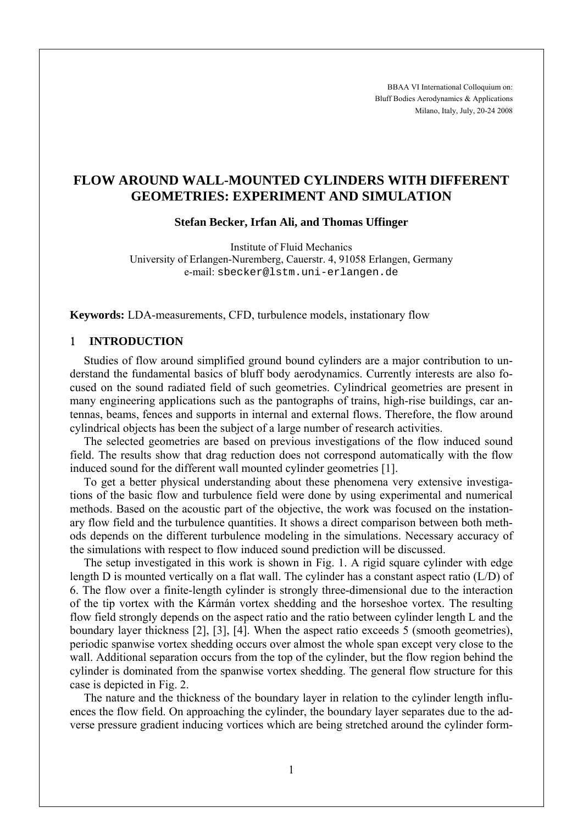BBAA VI International Colloquium on: Bluff Bodies Aerodynamics & Applications Milano, Italy, July, 20-24 2008

# **FLOW AROUND WALL-MOUNTED CYLINDERS WITH DIFFERENT GEOMETRIES: EXPERIMENT AND SIMULATION**

**Stefan Becker, Irfan Ali, and Thomas Uffinger** 

Institute of Fluid Mechanics University of Erlangen-Nuremberg, Cauerstr. 4, 91058 Erlangen, Germany e-mail: sbecker@lstm.uni-erlangen.de

**Keywords:** LDA-measurements, CFD, turbulence models, instationary flow

## 1 **INTRODUCTION**

Studies of flow around simplified ground bound cylinders are a major contribution to understand the fundamental basics of bluff body aerodynamics. Currently interests are also focused on the sound radiated field of such geometries. Cylindrical geometries are present in many engineering applications such as the pantographs of trains, high-rise buildings, car antennas, beams, fences and supports in internal and external flows. Therefore, the flow around cylindrical objects has been the subject of a large number of research activities.

The selected geometries are based on previous investigations of the flow induced sound field. The results show that drag reduction does not correspond automatically with the flow induced sound for the different wall mounted cylinder geometries [1].

To get a better physical understanding about these phenomena very extensive investigations of the basic flow and turbulence field were done by using experimental and numerical methods. Based on the acoustic part of the objective, the work was focused on the instationary flow field and the turbulence quantities. It shows a direct comparison between both methods depends on the different turbulence modeling in the simulations. Necessary accuracy of the simulations with respect to flow induced sound prediction will be discussed.

The setup investigated in this work is shown in Fig. 1. A rigid square cylinder with edge length D is mounted vertically on a flat wall. The cylinder has a constant aspect ratio (L/D) of 6. The flow over a finite-length cylinder is strongly three-dimensional due to the interaction of the tip vortex with the Kármán vortex shedding and the horseshoe vortex. The resulting flow field strongly depends on the aspect ratio and the ratio between cylinder length L and the boundary layer thickness [2], [3], [4]. When the aspect ratio exceeds 5 (smooth geometries), periodic spanwise vortex shedding occurs over almost the whole span except very close to the wall. Additional separation occurs from the top of the cylinder, but the flow region behind the cylinder is dominated from the spanwise vortex shedding. The general flow structure for this case is depicted in Fig. 2.

The nature and the thickness of the boundary layer in relation to the cylinder length influences the flow field. On approaching the cylinder, the boundary layer separates due to the adverse pressure gradient inducing vortices which are being stretched around the cylinder form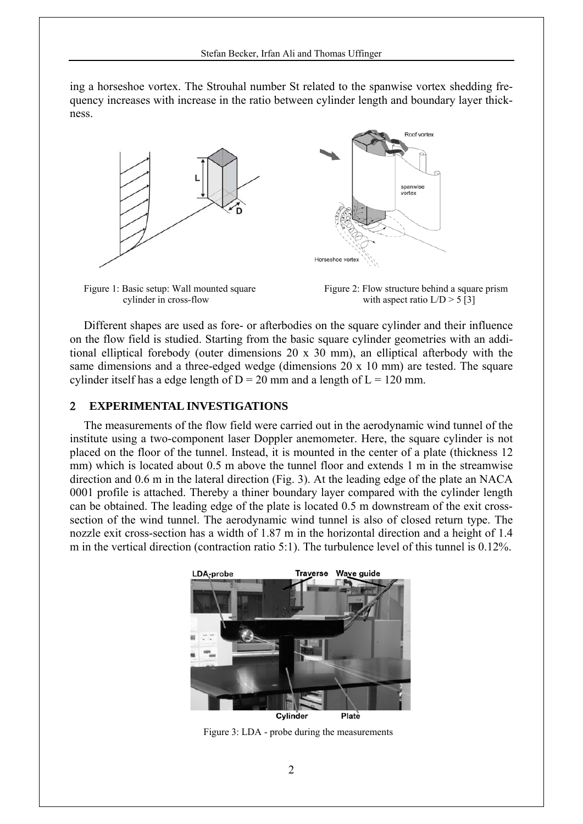ing a horseshoe vortex. The Strouhal number St related to the spanwise vortex shedding frequency increases with increase in the ratio between cylinder length and boundary layer thickness.





Figure 1: Basic setup: Wall mounted square Figure 2: Flow structure behind a square prism cylinder in cross-flow with aspect ratio  $L/D > 5$  [3]

Different shapes are used as fore- or afterbodies on the square cylinder and their influence on the flow field is studied. Starting from the basic square cylinder geometries with an additional elliptical forebody (outer dimensions 20 x 30 mm), an elliptical afterbody with the same dimensions and a three-edged wedge (dimensions 20 x 10 mm) are tested. The square cylinder itself has a edge length of  $D = 20$  mm and a length of  $L = 120$  mm.

#### 2 **EXPERIMENTAL INVESTIGATIONS**

The measurements of the flow field were carried out in the aerodynamic wind tunnel of the institute using a two-component laser Doppler anemometer. Here, the square cylinder is not placed on the floor of the tunnel. Instead, it is mounted in the center of a plate (thickness 12 mm) which is located about 0.5 m above the tunnel floor and extends 1 m in the streamwise direction and 0.6 m in the lateral direction (Fig. 3). At the leading edge of the plate an NACA 0001 profile is attached. Thereby a thiner boundary layer compared with the cylinder length can be obtained. The leading edge of the plate is located 0.5 m downstream of the exit crosssection of the wind tunnel. The aerodynamic wind tunnel is also of closed return type. The nozzle exit cross-section has a width of 1.87 m in the horizontal direction and a height of 1.4 m in the vertical direction (contraction ratio 5:1). The turbulence level of this tunnel is 0.12%.



Cylinder

Figure 3: LDA - probe during the measurements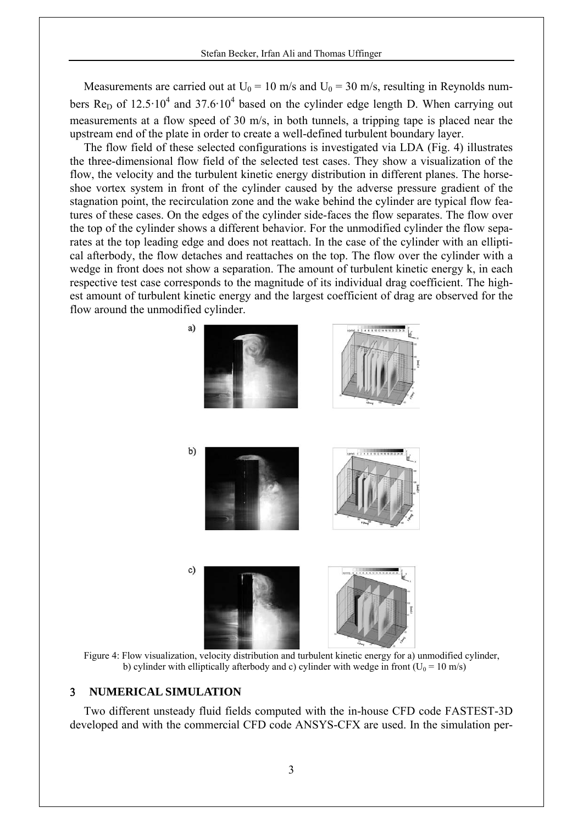Measurements are carried out at  $U_0 = 10$  m/s and  $U_0 = 30$  m/s, resulting in Reynolds numbers Re<sub>D</sub> of 12.5 $\cdot$ 10<sup>4</sup> and 37.6 $\cdot$ 10<sup>4</sup> based on the cylinder edge length D. When carrying out measurements at a flow speed of 30 m/s, in both tunnels, a tripping tape is placed near the upstream end of the plate in order to create a well-defined turbulent boundary layer.

The flow field of these selected configurations is investigated via LDA (Fig. 4) illustrates the three-dimensional flow field of the selected test cases. They show a visualization of the flow, the velocity and the turbulent kinetic energy distribution in different planes. The horseshoe vortex system in front of the cylinder caused by the adverse pressure gradient of the stagnation point, the recirculation zone and the wake behind the cylinder are typical flow features of these cases. On the edges of the cylinder side-faces the flow separates. The flow over the top of the cylinder shows a different behavior. For the unmodified cylinder the flow separates at the top leading edge and does not reattach. In the case of the cylinder with an elliptical afterbody, the flow detaches and reattaches on the top. The flow over the cylinder with a wedge in front does not show a separation. The amount of turbulent kinetic energy k, in each respective test case corresponds to the magnitude of its individual drag coefficient. The highest amount of turbulent kinetic energy and the largest coefficient of drag are observed for the flow around the unmodified cylinder.



Figure 4: Flow visualization, velocity distribution and turbulent kinetic energy for a) unmodified cylinder, b) cylinder with elliptically afterbody and c) cylinder with wedge in front ( $U_0 = 10$  m/s)

#### 3 **NUMERICAL SIMULATION**

Two different unsteady fluid fields computed with the in-house CFD code FASTEST-3D developed and with the commercial CFD code ANSYS-CFX are used. In the simulation per